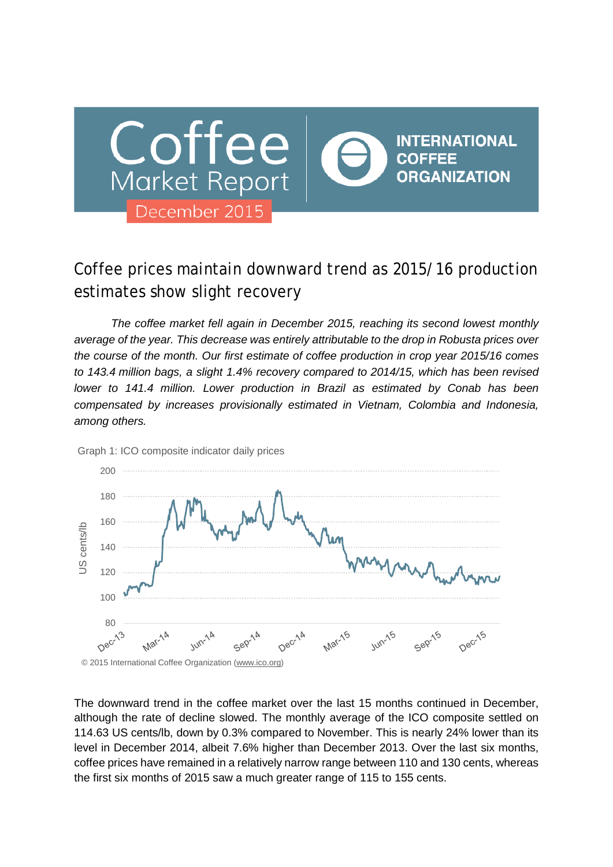

# Coffee prices maintain downward trend as 2015/16 production estimates show slight recovery

*The coffee market fell again in December 2015, reaching its second lowest monthly average of the year. This decrease was entirely attributable to the drop in Robusta prices over the course of the month. Our first estimate of coffee production in crop year 2015/16 comes to 143.4 million bags, a slight 1.4% recovery compared to 2014/15, which has been revised lower to 141.4 million. Lower production in Brazil as estimated by Conab has been compensated by increases provisionally estimated in Vietnam, Colombia and Indonesia, among others.*



Graph 1: ICO composite indicator daily prices

The downward trend in the coffee market over the last 15 months continued in December, although the rate of decline slowed. The monthly average of the ICO composite settled on 114.63 US cents/lb, down by 0.3% compared to November. This is nearly 24% lower than its level in December 2014, albeit 7.6% higher than December 2013. Over the last six months, coffee prices have remained in a relatively narrow range between 110 and 130 cents, whereas the first six months of 2015 saw a much greater range of 115 to 155 cents.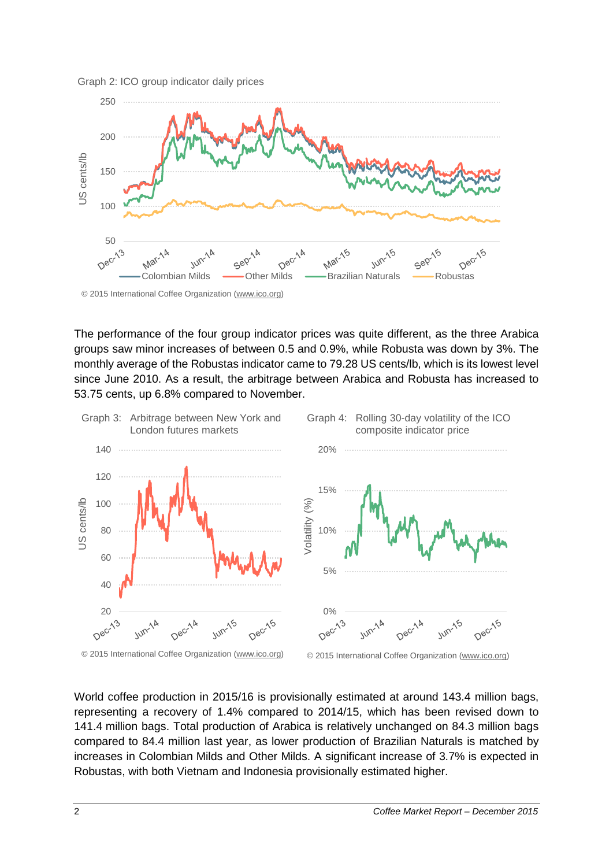



The performance of the four group indicator prices was quite different, as the three Arabica groups saw minor increases of between 0.5 and 0.9%, while Robusta was down by 3%. The monthly average of the Robustas indicator came to 79.28 US cents/lb, which is its lowest level since June 2010. As a result, the arbitrage between Arabica and Robusta has increased to 53.75 cents, up 6.8% compared to November.



World coffee production in 2015/16 is provisionally estimated at around 143.4 million bags, representing a recovery of 1.4% compared to 2014/15, which has been revised down to 141.4 million bags. Total production of Arabica is relatively unchanged on 84.3 million bags compared to 84.4 million last year, as lower production of Brazilian Naturals is matched by increases in Colombian Milds and Other Milds. A significant increase of 3.7% is expected in Robustas, with both Vietnam and Indonesia provisionally estimated higher.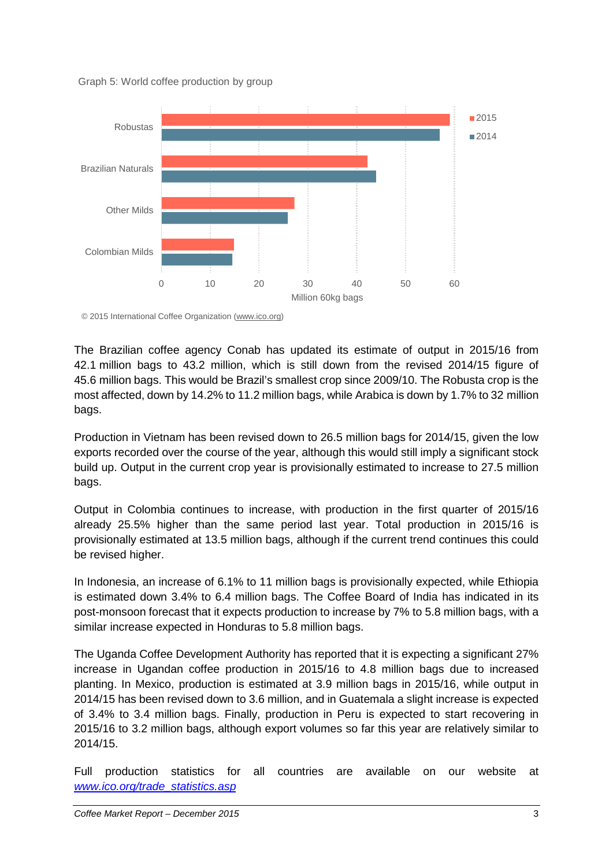



© 2015 International Coffee Organization (www.ico.org)

The Brazilian coffee agency Conab has updated its estimate of output in 2015/16 from 42.1 million bags to 43.2 million, which is still down from the revised 2014/15 figure of 45.6 million bags. This would be Brazil's smallest crop since 2009/10. The Robusta crop is the most affected, down by 14.2% to 11.2 million bags, while Arabica is down by 1.7% to 32 million bags.

Production in Vietnam has been revised down to 26.5 million bags for 2014/15, given the low exports recorded over the course of the year, although this would still imply a significant stock build up. Output in the current crop year is provisionally estimated to increase to 27.5 million bags.

Output in Colombia continues to increase, with production in the first quarter of 2015/16 already 25.5% higher than the same period last year. Total production in 2015/16 is provisionally estimated at 13.5 million bags, although if the current trend continues this could be revised higher.

In Indonesia, an increase of 6.1% to 11 million bags is provisionally expected, while Ethiopia is estimated down 3.4% to 6.4 million bags. The Coffee Board of India has indicated in its post-monsoon forecast that it expects production to increase by 7% to 5.8 million bags, with a similar increase expected in Honduras to 5.8 million bags.

The Uganda Coffee Development Authority has reported that it is expecting a significant 27% increase in Ugandan coffee production in 2015/16 to 4.8 million bags due to increased planting. In Mexico, production is estimated at 3.9 million bags in 2015/16, while output in 2014/15 has been revised down to 3.6 million, and in Guatemala a slight increase is expected of 3.4% to 3.4 million bags. Finally, production in Peru is expected to start recovering in 2015/16 to 3.2 million bags, although export volumes so far this year are relatively similar to 2014/15.

Full production statistics for all countries are available on our website at *[www.ico.org/trade\\_statistics.asp](http://www.ico.org/trade_statistics.asp)*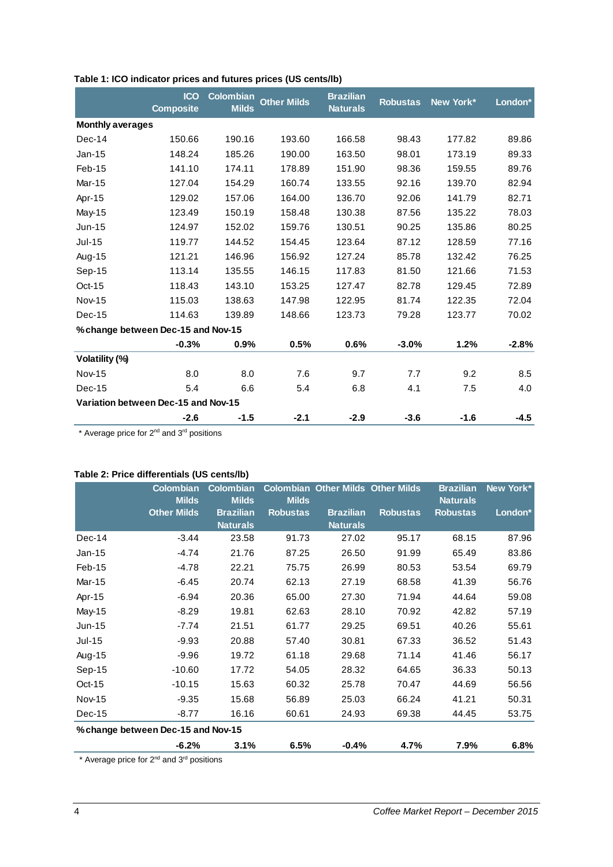|                                     | <b>ICO</b><br><b>Composite</b> | <b>Colombian</b><br><b>Milds</b> | <b>Other Milds</b> | <b>Brazilian</b><br><b>Naturals</b> | <b>Robustas</b> | New York* | London* |
|-------------------------------------|--------------------------------|----------------------------------|--------------------|-------------------------------------|-----------------|-----------|---------|
| <b>Monthly averages</b>             |                                |                                  |                    |                                     |                 |           |         |
| Dec-14                              | 150.66                         | 190.16                           | 193.60             | 166.58                              | 98.43           | 177.82    | 89.86   |
| $Jan-15$                            | 148.24                         | 185.26                           | 190.00             | 163.50                              | 98.01           | 173.19    | 89.33   |
| Feb-15                              | 141.10                         | 174.11                           | 178.89             | 151.90                              | 98.36           | 159.55    | 89.76   |
| Mar-15                              | 127.04                         | 154.29                           | 160.74             | 133.55                              | 92.16           | 139.70    | 82.94   |
| Apr-15                              | 129.02                         | 157.06                           | 164.00             | 136.70                              | 92.06           | 141.79    | 82.71   |
| May-15                              | 123.49                         | 150.19                           | 158.48             | 130.38                              | 87.56           | 135.22    | 78.03   |
| $Jun-15$                            | 124.97                         | 152.02                           | 159.76             | 130.51                              | 90.25           | 135.86    | 80.25   |
| $Jul-15$                            | 119.77                         | 144.52                           | 154.45             | 123.64                              | 87.12           | 128.59    | 77.16   |
| Aug-15                              | 121.21                         | 146.96                           | 156.92             | 127.24                              | 85.78           | 132.42    | 76.25   |
| Sep-15                              | 113.14                         | 135.55                           | 146.15             | 117.83                              | 81.50           | 121.66    | 71.53   |
| Oct-15                              | 118.43                         | 143.10                           | 153.25             | 127.47                              | 82.78           | 129.45    | 72.89   |
| <b>Nov-15</b>                       | 115.03                         | 138.63                           | 147.98             | 122.95                              | 81.74           | 122.35    | 72.04   |
| Dec-15                              | 114.63                         | 139.89                           | 148.66             | 123.73                              | 79.28           | 123.77    | 70.02   |
| % change between Dec-15 and Nov-15  |                                |                                  |                    |                                     |                 |           |         |
|                                     | $-0.3%$                        | 0.9%                             | 0.5%               | 0.6%                                | $-3.0%$         | 1.2%      | $-2.8%$ |
| Volatility (%)                      |                                |                                  |                    |                                     |                 |           |         |
| <b>Nov-15</b>                       | 8.0                            | 8.0                              | 7.6                | 9.7                                 | 7.7             | 9.2       | 8.5     |
| Dec-15                              | 5.4                            | 6.6                              | 5.4                | 6.8                                 | 4.1             | 7.5       | 4.0     |
| Variation between Dec-15 and Nov-15 |                                |                                  |                    |                                     |                 |           |         |
|                                     | $-2.6$                         | $-1.5$                           | $-2.1$             | $-2.9$                              | $-3.6$          | $-1.6$    | $-4.5$  |

## **Table 1: ICO indicator prices and futures prices (US cents/lb)**

\* Average price for 2nd and 3rd positions

# **Table 2: Price differentials (US cents/lb)**

|                                    | <b>Colombian</b>   |                  |                 | <b>Colombian Other Milds Other Milds</b> |                 | <b>Brazilian</b> | New York* |
|------------------------------------|--------------------|------------------|-----------------|------------------------------------------|-----------------|------------------|-----------|
|                                    | <b>Milds</b>       | <b>Milds</b>     | <b>Milds</b>    |                                          |                 | <b>Naturals</b>  |           |
|                                    | <b>Other Milds</b> | <b>Brazilian</b> | <b>Robustas</b> | <b>Brazilian</b>                         | <b>Robustas</b> | <b>Robustas</b>  | London*   |
|                                    |                    | <b>Naturals</b>  |                 | <b>Naturals</b>                          |                 |                  |           |
| Dec-14                             | $-3.44$            | 23.58            | 91.73           | 27.02                                    | 95.17           | 68.15            | 87.96     |
| $Jan-15$                           | $-4.74$            | 21.76            | 87.25           | 26.50                                    | 91.99           | 65.49            | 83.86     |
| Feb-15                             | $-4.78$            | 22.21            | 75.75           | 26.99                                    | 80.53           | 53.54            | 69.79     |
| Mar-15                             | $-6.45$            | 20.74            | 62.13           | 27.19                                    | 68.58           | 41.39            | 56.76     |
| Apr-15                             | $-6.94$            | 20.36            | 65.00           | 27.30                                    | 71.94           | 44.64            | 59.08     |
| May-15                             | $-8.29$            | 19.81            | 62.63           | 28.10                                    | 70.92           | 42.82            | 57.19     |
| $Jun-15$                           | $-7.74$            | 21.51            | 61.77           | 29.25                                    | 69.51           | 40.26            | 55.61     |
| $Jul-15$                           | $-9.93$            | 20.88            | 57.40           | 30.81                                    | 67.33           | 36.52            | 51.43     |
| Aug-15                             | $-9.96$            | 19.72            | 61.18           | 29.68                                    | 71.14           | 41.46            | 56.17     |
| Sep-15                             | $-10.60$           | 17.72            | 54.05           | 28.32                                    | 64.65           | 36.33            | 50.13     |
| $Oct-15$                           | $-10.15$           | 15.63            | 60.32           | 25.78                                    | 70.47           | 44.69            | 56.56     |
| <b>Nov-15</b>                      | $-9.35$            | 15.68            | 56.89           | 25.03                                    | 66.24           | 41.21            | 50.31     |
| Dec-15                             | $-8.77$            | 16.16            | 60.61           | 24.93                                    | 69.38           | 44.45            | 53.75     |
| % change between Dec-15 and Nov-15 |                    |                  |                 |                                          |                 |                  |           |
|                                    | $-6.2%$            | 3.1%             | 6.5%            | $-0.4%$                                  | 4.7%            | 7.9%             | 6.8%      |

\* Average price for 2nd and 3rd positions